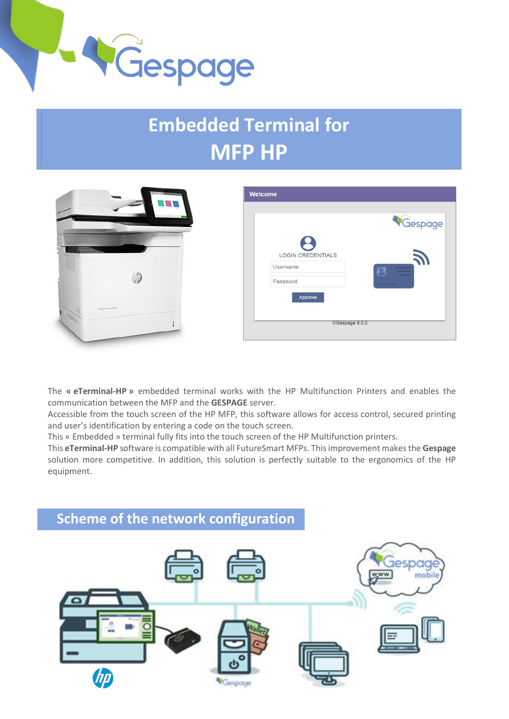

## ……..………. **Embedded Terminal for MFP HP**



|                          | Gespage                    |
|--------------------------|----------------------------|
| <b>LOGIN CREDENTIALS</b> | $\boldsymbol{\mathcal{N}}$ |
| Username                 |                            |
| Password                 |                            |
| Approve                  |                            |

The **« eTerminal-HP »** embedded terminal works with the HP Multifunction Printers and enables the communication between the MFP and the **GESPAGE** server.

Accessible from the touch screen of the HP MFP, this software allows for access control, secured printing and user's identification by entering a code on the touch screen.

This « Embedded » terminal fully fits into the touch screen of the HP Multifunction printers.

This **eTerminal-HP** software is compatible with all FutureSmart MFPs. This improvement makes the **Gespage** solution more competitive. In addition, this solution is perfectly suitable to the ergonomics of the HP equipment.